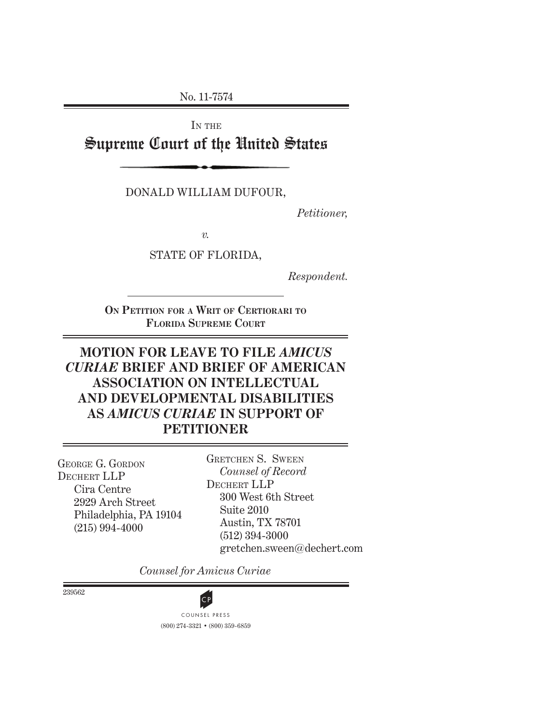No. 11-7574

IN THE

Supreme Court of the United States

DONALD WILLIAM DUFOUR,

*Petitioner,*

*v.*

STATE OF FLORIDA,

*Respondent.*

**ON PETITION FOR A WRIT OF CERTIORARI TO FLORIDA SUPREME COURT**

# **MOTION FOR LEAVE TO FILE** *AMICUS CURIAE* **BRIEF AND BRIEF OF AMERICAN ASSOCIATION ON INTELLECTUAL AND DEVELOPMENTAL DISABILITIES AS** *AMICUS CURIAE* **IN SUPPORT OF PETITIONER**

 Suite 2010 Philadelphia, PA 19104 GEORGE G. GORDON DECHERT LLP Cira Centre 2929 Arch Street (215) 994-4000

 GRETCHEN S. SWEEN  *Counsel of Record* DECHERT LLP 300 West 6th Street Austin, TX 78701 (512) 394-3000 gretchen.sween@dechert.com

*Counsel for Amicus Curiae*

239562

(800) 274-3321 • (800) 359-6859 COUNSEL PRESS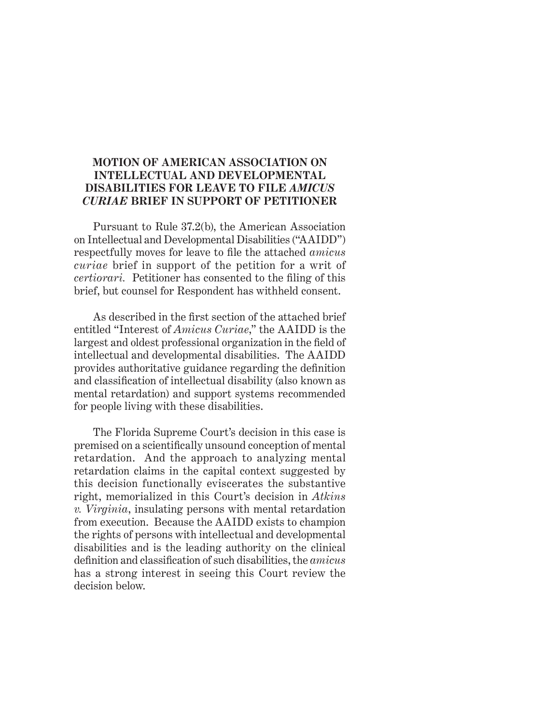## **MOTION OF AMERICAN ASSOCIATION ON INTELLECTUAL AND DEVELOPMENTAL DISABILITIES FOR LEAVE TO FILE** *AMICUS CURIAE* **BRIEF IN SUPPORT OF PETITIONER**

Pursuant to Rule 37.2(b), the American Association on Intellectual and Developmental Disabilities ("AAIDD") respectfully moves for leave to file the attached *amicus curiae* brief in support of the petition for a writ of *certiorari.* Petitioner has consented to the filing of this brief, but counsel for Respondent has withheld consent.

As described in the first section of the attached brief entitled "Interest of *Amicus Curiae*," the AAIDD is the largest and oldest professional organization in the field of intellectual and developmental disabilities. The AAIDD provides authoritative guidance regarding the definition and classification of intellectual disability (also known as mental retardation) and support systems recommended for people living with these disabilities.

The Florida Supreme Court's decision in this case is premised on a scientifically unsound conception of mental retardation. And the approach to analyzing mental retardation claims in the capital context suggested by this decision functionally eviscerates the substantive right, memorialized in this Court's decision in *Atkins v. Virginia*, insulating persons with mental retardation from execution. Because the AAIDD exists to champion the rights of persons with intellectual and developmental disabilities and is the leading authority on the clinical definition and classification of such disabilities, the *amicus* has a strong interest in seeing this Court review the decision below.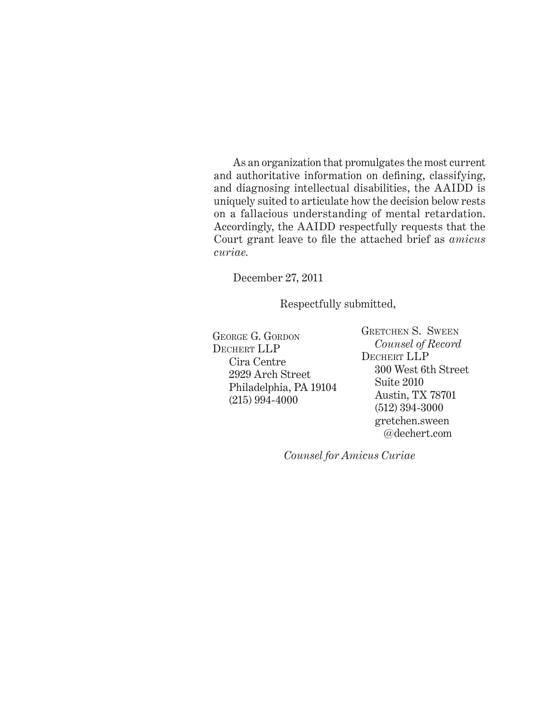As an organization that promulgates the most current and authoritative information on defining, classifying, and diagnosing intellectual disabilities, the AAIDD is uniquely suited to articulate how the decision below rests on a fallacious understanding of mental retardation. Accordingly, the AAIDD respectfully requests that the Court grant leave to file the attached brief as *amicus curiae.* 

December 27, 2011

Respectfully submitted,

 Suite 2010 Philadelphia, PA 19104 GEORGE G. GORDON DECHERT LLP Cira Centre 2929 Arch Street (215) 994-4000

 GRETCHEN S. SWEEN  *Counsel of Record* DECHERT LLP 300 West 6th Street Austin, TX 78701 (512) 394-3000 gretchen.sween @dechert.com

*Counsel for Amicus Curiae*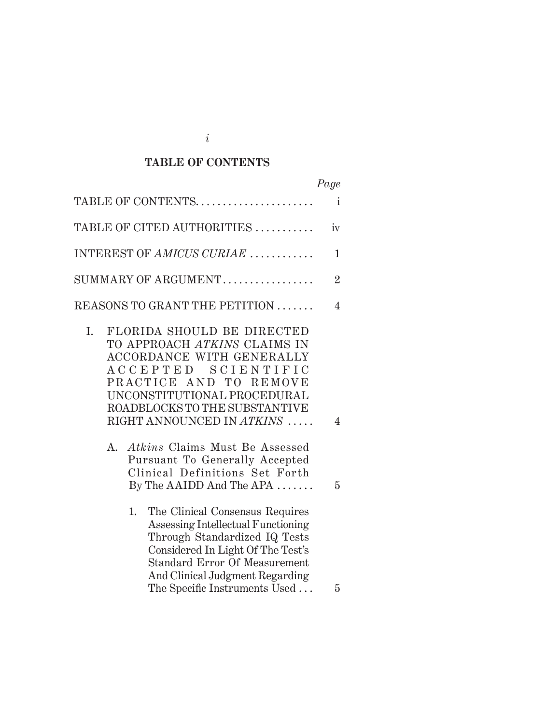# **TABLE OF CONTENTS**

|                                                                                                                                                                                                                                                                                                                                                                                                                | Page           |
|----------------------------------------------------------------------------------------------------------------------------------------------------------------------------------------------------------------------------------------------------------------------------------------------------------------------------------------------------------------------------------------------------------------|----------------|
| TABLE OF CONTENTS                                                                                                                                                                                                                                                                                                                                                                                              | i              |
| TABLE OF CITED AUTHORITIES                                                                                                                                                                                                                                                                                                                                                                                     | iv             |
| INTEREST OF AMICUS CURIAE                                                                                                                                                                                                                                                                                                                                                                                      | 1              |
|                                                                                                                                                                                                                                                                                                                                                                                                                | $\overline{2}$ |
| REASONS TO GRANT THE PETITION                                                                                                                                                                                                                                                                                                                                                                                  | 4              |
| FLORIDA SHOULD BE DIRECTED<br>I.<br>TO APPROACH ATKINS CLAIMS IN<br>ACCORDANCE WITH GENERALLY<br>SCIENTIFIC<br>A C C E P T E D<br>PRACTICE AND TO<br><b>REMOVE</b><br>UNCONSTITUTIONAL PROCEDURAL<br>ROADBLOCKS TO THE SUBSTANTIVE<br>RIGHT ANNOUNCED IN ATKINS<br><i>Atkins</i> Claims Must Be Assessed<br>A.<br>Pursuant To Generally Accepted<br>Clinical Definitions Set Forth<br>By The AAIDD And The APA | 4<br>5         |
| The Clinical Consensus Requires<br>1.<br>Assessing Intellectual Functioning<br>Through Standardized IQ Tests<br>Considered In Light Of The Test's<br><b>Standard Error Of Measurement</b><br>And Clinical Judgment Regarding<br>The Specific Instruments Used                                                                                                                                                  | 5              |

*i*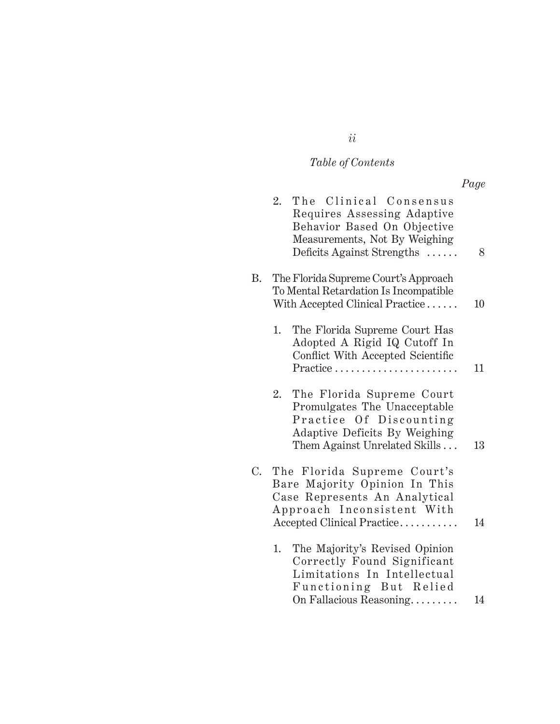# *Table of Contents*

*ii*

*Page*

|    | 2. | The Clinical Consensus<br>Requires Assessing Adaptive<br>Behavior Based On Objective<br>Measurements, Not By Weighing<br>Deficits Against Strengths       | 8  |
|----|----|-----------------------------------------------------------------------------------------------------------------------------------------------------------|----|
| Β. |    | The Florida Supreme Court's Approach<br>To Mental Retardation Is Incompatible<br>With Accepted Clinical Practice                                          | 10 |
|    | 1. | The Florida Supreme Court Has<br>Adopted A Rigid IQ Cutoff In<br>Conflict With Accepted Scientific<br>Practice                                            | 11 |
|    | 2. | The Florida Supreme Court<br>Promulgates The Unacceptable<br>Practice Of Discounting<br>Adaptive Deficits By Weighing<br>Them Against Unrelated Skills    | 13 |
| C. |    | The Florida Supreme Court's<br>Bare Majority Opinion In This<br>Case Represents An Analytical<br>Approach Inconsistent With<br>Accepted Clinical Practice | 14 |
|    | 1. | The Majority's Revised Opinion<br>Correctly Found Significant<br>Limitations In Intellectual<br>Functioning But Relied<br>On Fallacious Reasoning         | 14 |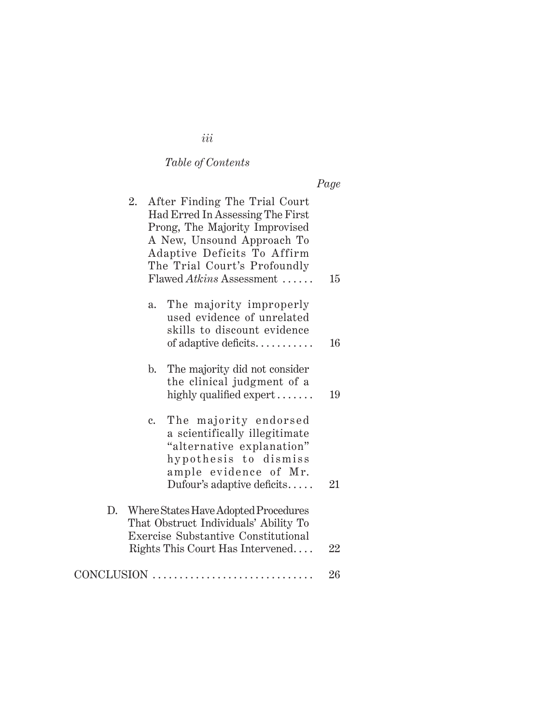# *Table of Contents*

| 2. | After Finding The Trial Court<br>Had Erred In Assessing The First<br>Prong, The Majority Improvised<br>A New, Unsound Approach To<br>Adaptive Deficits To Affirm<br>The Trial Court's Profoundly<br>Flawed Atkins Assessment | 15 |
|----|------------------------------------------------------------------------------------------------------------------------------------------------------------------------------------------------------------------------------|----|
|    | The majority improperly<br>a.<br>used evidence of unrelated<br>skills to discount evidence<br>of adaptive deficits                                                                                                           | 16 |
|    | The majority did not consider<br>$\mathbf{b}$ .<br>the clinical judgment of a<br>highly qualified expert                                                                                                                     | 19 |
|    | The majority endorsed<br>c.<br>a scientifically illegitimate<br>"alternative explanation"<br>hypothesis to dismiss<br>ample evidence of Mr.<br>Dufour's adaptive deficits                                                    | 21 |
| D. | Where States Have Adopted Procedures<br>That Obstruct Individuals' Ability To<br>Exercise Substantive Constitutional<br>Rights This Court Has Intervened                                                                     | 22 |
|    | CONCLUSION                                                                                                                                                                                                                   | 26 |

# *iii*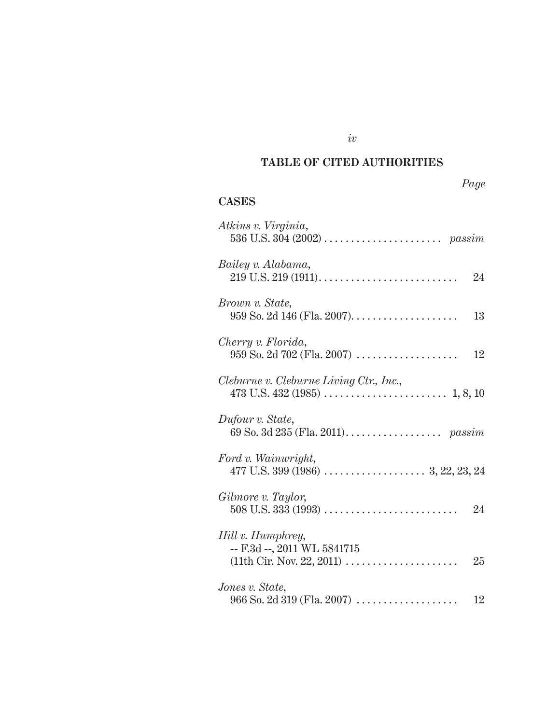# **TABLE OF CITED AUTHORITIES**

# *Page*

# **CASES**

| Atkins v. Virginia,                                    |
|--------------------------------------------------------|
| Bailey v. Alabama,<br>24                               |
| Brown v. State,<br>13                                  |
| Cherry v. Florida,<br>12                               |
| Cleburne v. Cleburne Living Ctr., Inc.,                |
| Dufour v. State,                                       |
| Ford v. Wainwright,                                    |
| Gilmore v. Taylor,                                     |
| Hill v. Humphrey,<br>-- F.3d --, 2011 WL 5841715<br>25 |
| Jones v. State,<br>12                                  |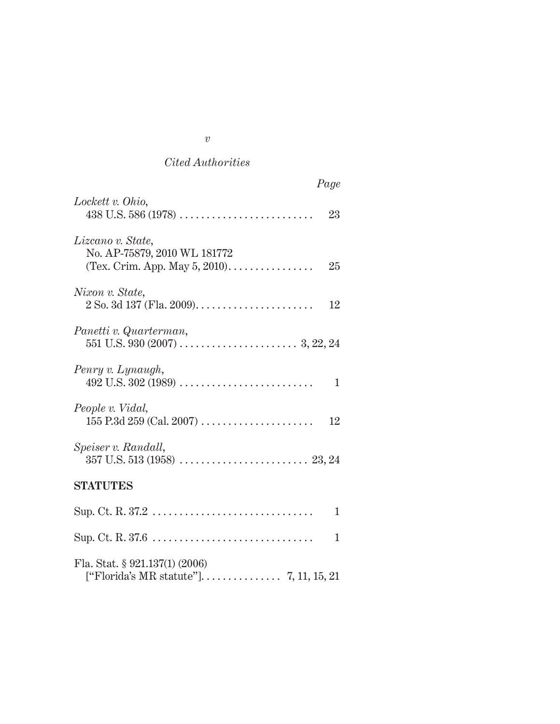## *Cited Authorities*

| Page                                                    |
|---------------------------------------------------------|
| Lockett v. Ohio,<br>23                                  |
| Lizcano v. State,<br>No. AP-75879, 2010 WL 181772<br>25 |
| Nixon v. State,<br>12                                   |
| Panetti v. Quarterman,                                  |
| Penry v. Lynaugh,<br>1                                  |
| People v. Vidal,<br>12                                  |
| Speiser v. Randall,                                     |
| <b>STATUTES</b>                                         |
| 1                                                       |
| 1                                                       |
| Fla. Stat. $\S 921.137(1) (2006)$                       |

*v*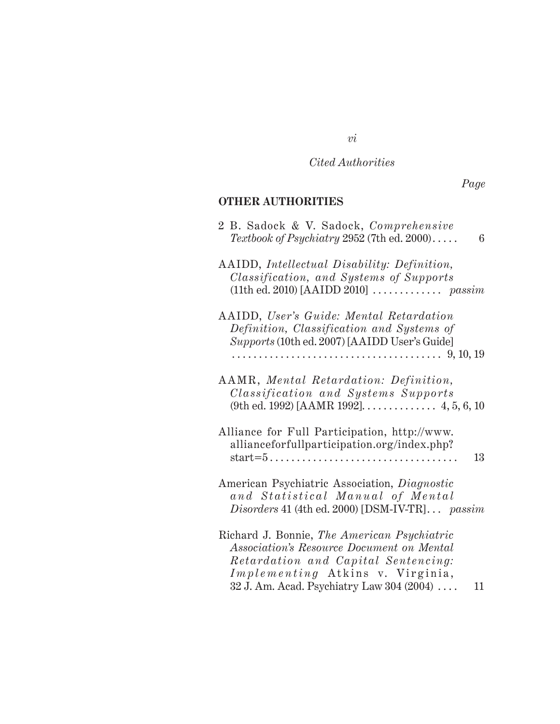*Cited Authorities*

*vi*

*Page*

## **OTHER AUTHORITIES**

| 2 B. Sadock & V. Sadock, Comprehensive<br>Textbook of Psychiatry 2952 (7th ed. 2000)<br>6                                                                                                                              |
|------------------------------------------------------------------------------------------------------------------------------------------------------------------------------------------------------------------------|
| AAIDD, Intellectual Disability: Definition,<br>Classification, and Systems of Supports                                                                                                                                 |
| AAIDD, User's Guide: Mental Retardation<br>Definition, Classification and Systems of<br>Supports (10th ed. 2007) [AAIDD User's Guide]                                                                                  |
| AAMR, Mental Retardation: Definition,<br><i>Classification and Systems Supports</i><br>(9th ed. 1992) [AAMR 1992]. $\dots$ 4, 5, 6, 10                                                                                 |
| Alliance for Full Participation, http://www.<br>allianceforfullparticipation.org/index.php?<br>$start=5 \ldots \ldots \ldots \ldots \ldots \ldots \ldots \ldots \ldots \ldots$<br>13                                   |
| American Psychiatric Association, Diagnostic<br>and Statistical Manual of Mental<br>Disorders 41 (4th ed. 2000) [DSM-IV-TR] passim                                                                                     |
| Richard J. Bonnie, The American Psychiatric<br>Association's Resource Document on Mental<br>Retardation and Capital Sentencing:<br>Implementing Atkins v. Virginia,<br>32 J. Am. Acad. Psychiatry Law 304 (2004)<br>11 |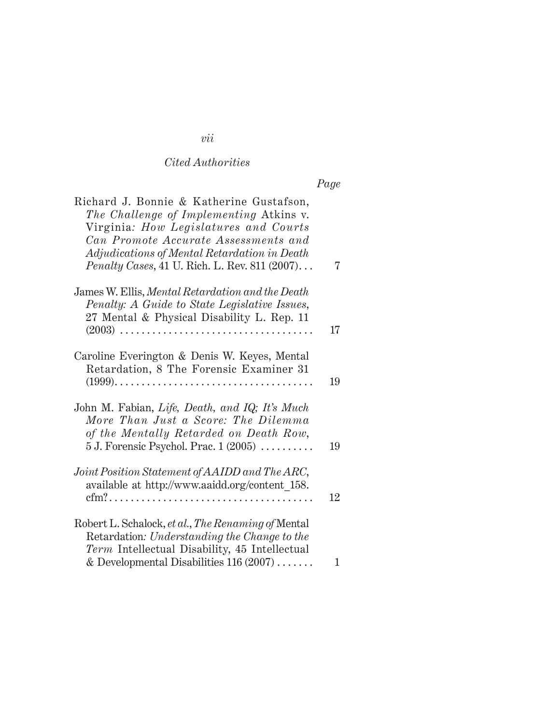# *Cited Authorities*

| Richard J. Bonnie & Katherine Gustafson,<br>The Challenge of Implementing Atkins v.<br>Virginia: How Legislatures and Courts<br>Can Promote Accurate Assessments and<br>Adjudications of Mental Retardation in Death<br><i>Penalty Cases, 41 U. Rich. L. Rev. 811 (2007)</i> | 7  |
|------------------------------------------------------------------------------------------------------------------------------------------------------------------------------------------------------------------------------------------------------------------------------|----|
| James W. Ellis, Mental Retardation and the Death<br>Penalty: A Guide to State Legislative Issues,<br>27 Mental & Physical Disability L. Rep. 11                                                                                                                              | 17 |
| Caroline Everington & Denis W. Keyes, Mental<br>Retardation, 8 The Forensic Examiner 31                                                                                                                                                                                      | 19 |
| John M. Fabian, Life, Death, and IQ; It's Much<br>More Than Just a Score: The Dilemma<br>of the Mentally Retarded on Death Row,<br>$5$ J. Forensic Psychol. Prac. $1(2005)$                                                                                                  | 19 |
| Joint Position Statement of AAIDD and The ARC,<br>available at http://www.aaidd.org/content 158.                                                                                                                                                                             | 12 |
| Robert L. Schalock, et al., The Renaming of Mental<br>Retardation: Understanding the Change to the<br>Term Intellectual Disability, 45 Intellectual<br>& Developmental Disabilities $116(2007) \ldots$                                                                       | 1  |

# *vii*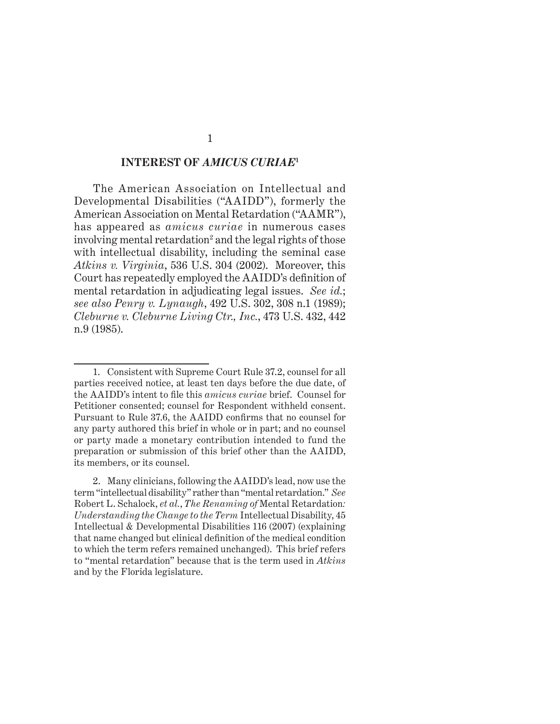#### **INTEREST OF** *AMICUS CURIAE***<sup>1</sup>**

 The American Association on Intellectual and Developmental Disabilities ("AAIDD"), formerly the American Association on Mental Retardation ("AAMR"), has appeared as *amicus curiae* in numerous cases involving mental retardation<sup>2</sup> and the legal rights of those with intellectual disability, including the seminal case *Atkins v. Virginia*, 536 U.S. 304 (2002). Moreover, this Court has repeatedly employed the AAIDD's definition of mental retardation in adjudicating legal issues. *See id.*; *see also Penry v. Lynaugh*, 492 U.S. 302, 308 n.1 (1989); *Cleburne v. Cleburne Living Ctr., Inc.*, 473 U.S. 432, 442 n.9 (1985).

<sup>1.</sup> Consistent with Supreme Court Rule 37.2, counsel for all parties received notice, at least ten days before the due date, of the AAIDD's intent to file this *amicus curiae* brief. Counsel for Petitioner consented; counsel for Respondent withheld consent. Pursuant to Rule 37.6, the AAIDD confirms that no counsel for any party authored this brief in whole or in part; and no counsel or party made a monetary contribution intended to fund the preparation or submission of this brief other than the AAIDD, its members, or its counsel.

<sup>2.</sup> Many clinicians, following the AAIDD's lead, now use the term "intellectual disability" rather than "mental retardation." *See*  Robert L. Schalock, *et al.*, *The Renaming of* Mental Retardation*: Understanding the Change to the Term* Intellectual Disability, 45 Intellectual & Developmental Disabilities 116 (2007) (explaining that name changed but clinical definition of the medical condition to which the term refers remained unchanged). This brief refers to "mental retardation" because that is the term used in *Atkins* and by the Florida legislature.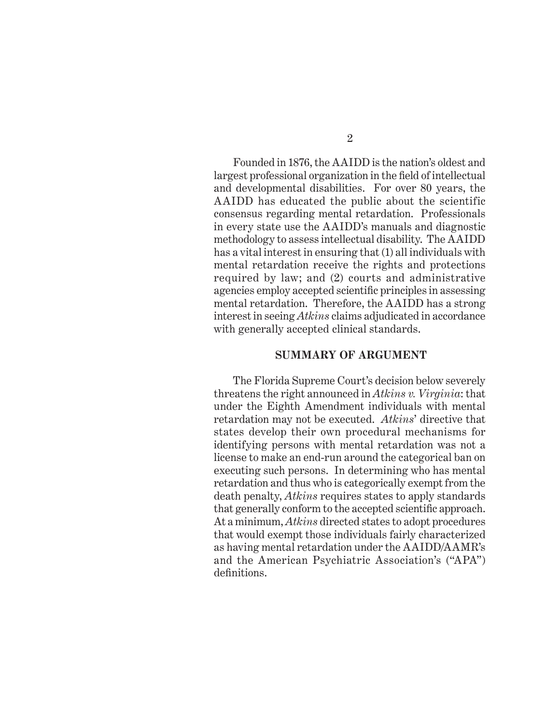Founded in 1876, the AAIDD is the nation's oldest and largest professional organization in the field of intellectual and developmental disabilities. For over 80 years, the AAIDD has educated the public about the scientific consensus regarding mental retardation. Professionals in every state use the AAIDD's manuals and diagnostic methodology to assess intellectual disability. The AAIDD has a vital interest in ensuring that (1) all individuals with mental retardation receive the rights and protections required by law; and (2) courts and administrative agencies employ accepted scientific principles in assessing mental retardation. Therefore, the AAIDD has a strong interest in seeing *Atkins* claims adjudicated in accordance with generally accepted clinical standards.

#### **SUMMARY OF ARGUMENT**

The Florida Supreme Court's decision below severely threatens the right announced in *Atkins v. Virginia*: that under the Eighth Amendment individuals with mental retardation may not be executed. *Atkins*' directive that states develop their own procedural mechanisms for identifying persons with mental retardation was not a license to make an end-run around the categorical ban on executing such persons. In determining who has mental retardation and thus who is categorically exempt from the death penalty, *Atkins* requires states to apply standards that generally conform to the accepted scientific approach. At a minimum, *Atkins* directed states to adopt procedures that would exempt those individuals fairly characterized as having mental retardation under the AAIDD/AAMR's and the American Psychiatric Association's ("APA") definitions.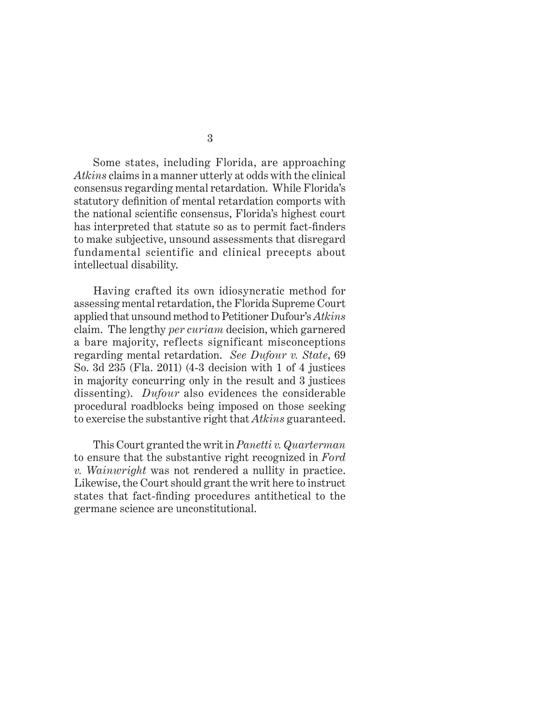Some states, including Florida, are approaching *Atkins* claims in a manner utterly at odds with the clinical consensus regarding mental retardation. While Florida's statutory definition of mental retardation comports with the national scientific consensus, Florida's highest court has interpreted that statute so as to permit fact-finders to make subjective, unsound assessments that disregard fundamental scientific and clinical precepts about intellectual disability.

Having crafted its own idiosyncratic method for assessing mental retardation, the Florida Supreme Court applied that unsound method to Petitioner Dufour's *Atkins* claim. The lengthy *per curiam* decision, which garnered a bare majority, reflects significant misconceptions regarding mental retardation. *See Dufour v. State*, 69 So. 3d 235 (Fla. 2011) (4-3 decision with 1 of 4 justices in majority concurring only in the result and 3 justices dissenting). *Dufour* also evidences the considerable procedural roadblocks being imposed on those seeking to exercise the substantive right that *Atkins* guaranteed.

This Court granted the writ in *Panetti v. Quarterman* to ensure that the substantive right recognized in *Ford v. Wainwright* was not rendered a nullity in practice. Likewise, the Court should grant the writ here to instruct states that fact-finding procedures antithetical to the germane science are unconstitutional.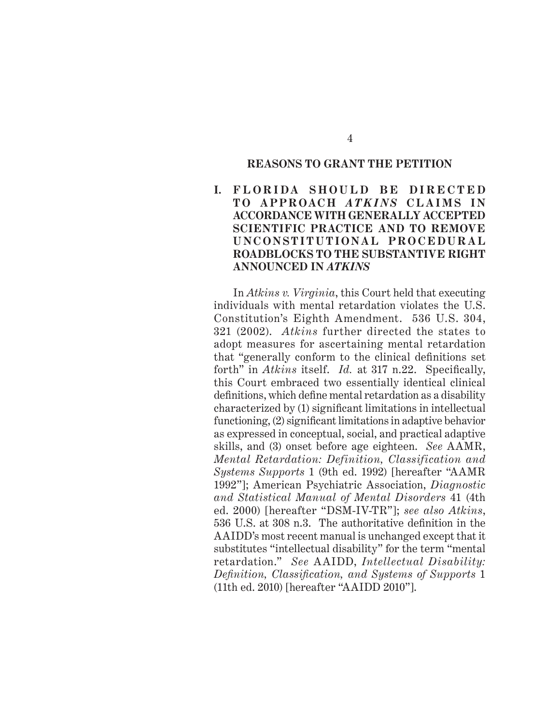#### **REASONS TO GRANT THE PETITION**

## **I. FLORIDA SHOULD BE DIRECTED TO APPROACH** *ATKINS* **C L A I M S I N ACCORDANCE WITH GENERALLY ACCEPTED SCIENTIFIC PRACTICE AND TO REMOVE U N C O N S T I T U T I O N A L P R O C E D U R A L ROADBLOCKS TO THE SUBSTANTIVE RIGHT ANNOUNCED IN** *ATKINS*

In *Atkins v. Virginia*, this Court held that executing individuals with mental retardation violates the U.S. Constitution's Eighth Amendment. 536 U.S. 304, 321 (2002). *Atkins* further directed the states to adopt measures for ascertaining mental retardation that "generally conform to the clinical definitions set forth" in *Atkins* itself. *Id.* at 317 n.22. Specifically, this Court embraced two essentially identical clinical definitions, which define mental retardation as a disability  $characterized by (1) significant limitations in intellectual$ functioning,  $(2)$  significant limitations in adaptive behavior as expressed in conceptual, social, and practical adaptive skills, and (3) onset before age eighteen. *See* AAMR, *Mental Retardation: Definition, Classification and Systems Supports* 1 (9th ed. 1992) [hereafter "AAMR 1992"]; American Psychiatric Association, *Diagnostic and Statistical Manual of Mental Disorders* 41 (4th ed. 2000) [hereafter "DSM-IV-TR"]; *see also Atkins*, 536 U.S. at 308 n.3. The authoritative definition in the AAIDD's most recent manual is unchanged except that it substitutes "intellectual disability" for the term "mental retardation." *See* AAIDD, *Intellectual Disability: Defi nition, Classifi cation, and Systems of Supports* 1 (11th ed. 2010) [hereafter "AAIDD 2010"].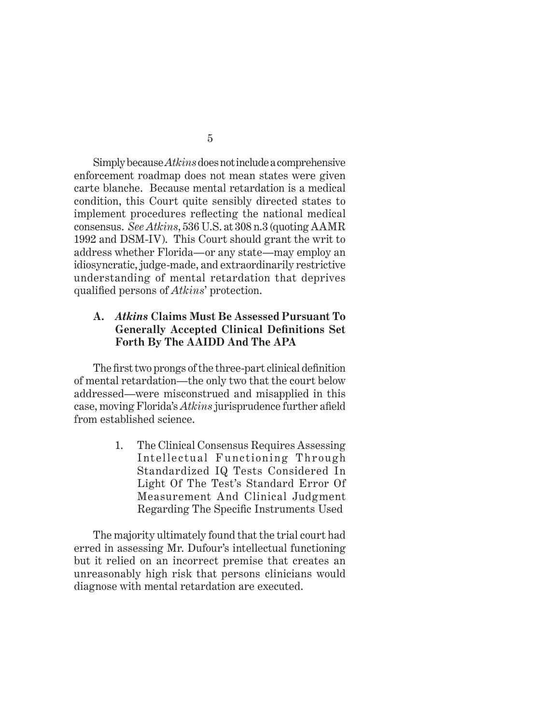Simply because *Atkins* does not include a comprehensive enforcement roadmap does not mean states were given carte blanche. Because mental retardation is a medical condition, this Court quite sensibly directed states to implement procedures reflecting the national medical consensus. *See Atkins*, 536 U.S. at 308 n.3 (quoting AAMR 1992 and DSM-IV). This Court should grant the writ to address whether Florida—or any state—may employ an idiosyncratic, judge-made, and extraordinarily restrictive understanding of mental retardation that deprives qualified persons of *Atkins*' protection.

### **A.** *Atkins* **Claims Must Be Assessed Pursuant To Generally Accepted Clinical Defi nitions Set Forth By The AAIDD And The APA**

The first two prongs of the three-part clinical definition of mental retardation—the only two that the court below addressed—were misconstrued and misapplied in this case, moving Florida's *Atkins* jurisprudence further afield from established science.

> 1. The Clinical Consensus Requires Assessing Intellectual Functioning Through Standardized IQ Tests Considered In Light Of The Test's Standard Error Of Measurement And Clinical Judgment Regarding The Specific Instruments Used

The majority ultimately found that the trial court had erred in assessing Mr. Dufour's intellectual functioning but it relied on an incorrect premise that creates an unreasonably high risk that persons clinicians would diagnose with mental retardation are executed.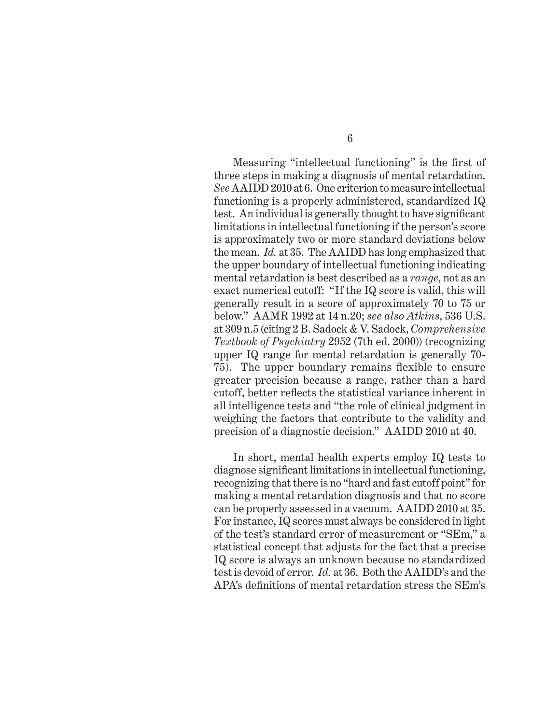Measuring "intellectual functioning" is the first of three steps in making a diagnosis of mental retardation. *See* AAIDD 2010 at 6. One criterion to measure intellectual functioning is a properly administered, standardized IQ test. An individual is generally thought to have significant limitations in intellectual functioning if the person's score is approximately two or more standard deviations below the mean. *Id.* at 35. The AAIDD has long emphasized that the upper boundary of intellectual functioning indicating mental retardation is best described as a *range*, not as an exact numerical cutoff: "If the IQ score is valid, this will generally result in a score of approximately 70 to 75 or below." AAMR 1992 at 14 n.20; *see also Atkins*, 536 U.S. at 309 n.5 (citing 2 B. Sadock & V. Sadock, *Comprehensive Textbook of Psychiatry* 2952 (7th ed. 2000)) (recognizing upper IQ range for mental retardation is generally 70- 75). The upper boundary remains flexible to ensure greater precision because a range, rather than a hard cutoff, better reflects the statistical variance inherent in all intelligence tests and "the role of clinical judgment in weighing the factors that contribute to the validity and precision of a diagnostic decision." AAIDD 2010 at 40.

In short, mental health experts employ IQ tests to diagnose significant limitations in intellectual functioning, recognizing that there is no "hard and fast cutoff point" for making a mental retardation diagnosis and that no score can be properly assessed in a vacuum. AAIDD 2010 at 35. For instance, IQ scores must always be considered in light of the test's standard error of measurement or "SEm," a statistical concept that adjusts for the fact that a precise IQ score is always an unknown because no standardized test is devoid of error. *Id.* at 36. Both the AAIDD's and the APA's definitions of mental retardation stress the SEm's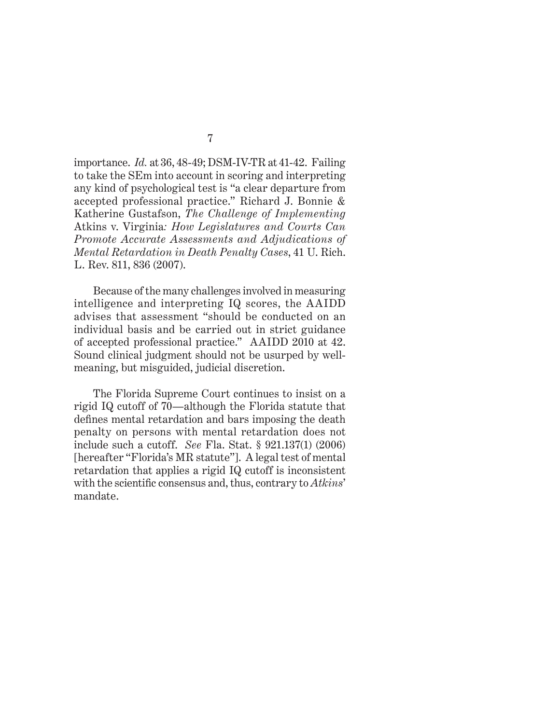importance. *Id.* at 36, 48-49; DSM-IV-TR at 41-42. Failing to take the SEm into account in scoring and interpreting any kind of psychological test is "a clear departure from accepted professional practice." Richard J. Bonnie & Katherine Gustafson, *The Challenge of Implementing*  Atkins v. Virginia*: How Legislatures and Courts Can Promote Accurate Assessments and Adjudications of Mental Retardation in Death Penalty Cases*, 41 U. Rich. L. Rev. 811, 836 (2007).

Because of the many challenges involved in measuring intelligence and interpreting IQ scores, the AAIDD advises that assessment "should be conducted on an individual basis and be carried out in strict guidance of accepted professional practice." AAIDD 2010 at 42. Sound clinical judgment should not be usurped by wellmeaning, but misguided, judicial discretion.

The Florida Supreme Court continues to insist on a rigid IQ cutoff of 70—although the Florida statute that defines mental retardation and bars imposing the death penalty on persons with mental retardation does not include such a cutoff. *See* Fla. Stat. § 921.137(1) (2006) [hereafter "Florida's MR statute"]. A legal test of mental retardation that applies a rigid IQ cutoff is inconsistent with the scientific consensus and, thus, contrary to *Atkins*' mandate.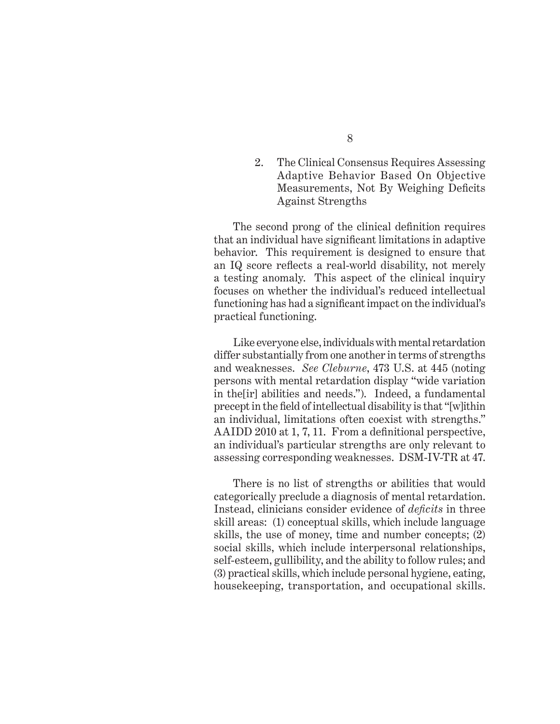2. The Clinical Consensus Requires Assessing Adaptive Behavior Based On Objective Measurements, Not By Weighing Deficits Against Strengths

The second prong of the clinical definition requires that an individual have significant limitations in adaptive behavior. This requirement is designed to ensure that an IQ score reflects a real-world disability, not merely a testing anomaly. This aspect of the clinical inquiry focuses on whether the individual's reduced intellectual functioning has had a significant impact on the individual's practical functioning.

Like everyone else, individuals with mental retardation differ substantially from one another in terms of strengths and weaknesses. *See Cleburne*, 473 U.S. at 445 (noting persons with mental retardation display "wide variation in the[ir] abilities and needs."). Indeed, a fundamental precept in the field of intellectual disability is that "[w]ithin an individual, limitations often coexist with strengths." AAIDD 2010 at 1, 7, 11. From a definitional perspective, an individual's particular strengths are only relevant to assessing corresponding weaknesses. DSM-IV-TR at 47.

There is no list of strengths or abilities that would categorically preclude a diagnosis of mental retardation. Instead, clinicians consider evidence of *deficits* in three skill areas: (1) conceptual skills, which include language skills, the use of money, time and number concepts; (2) social skills, which include interpersonal relationships, self-esteem, gullibility, and the ability to follow rules; and (3) practical skills, which include personal hygiene, eating, housekeeping, transportation, and occupational skills.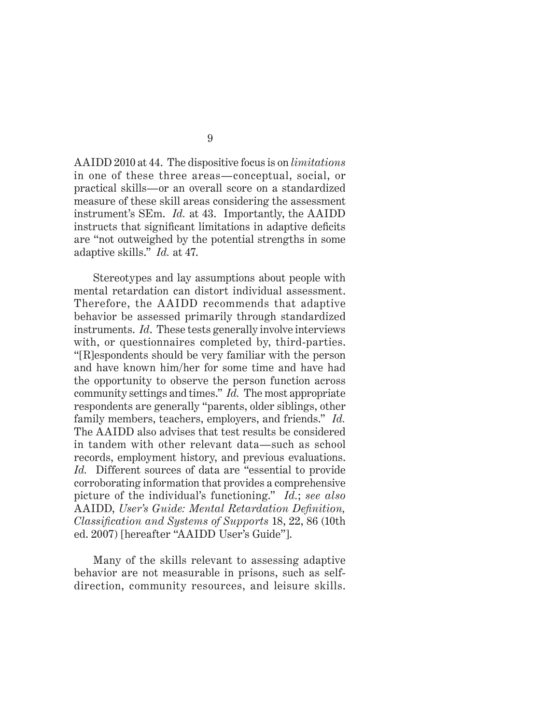AAIDD 2010 at 44. The dispositive focus is on *limitations* in one of these three areas—conceptual, social, or practical skills—or an overall score on a standardized measure of these skill areas considering the assessment instrument's SEm. *Id.* at 43. Importantly, the AAIDD instructs that significant limitations in adaptive deficits are "not outweighed by the potential strengths in some adaptive skills." *Id.* at 47.

Stereotypes and lay assumptions about people with mental retardation can distort individual assessment. Therefore, the AAIDD recommends that adaptive behavior be assessed primarily through standardized instruments. *Id*. These tests generally involve interviews with, or questionnaires completed by, third-parties. "[R]espondents should be very familiar with the person and have known him/her for some time and have had the opportunity to observe the person function across community settings and times." *Id.* The most appropriate respondents are generally "parents, older siblings, other family members, teachers, employers, and friends." *Id.*  The AAIDD also advises that test results be considered in tandem with other relevant data—such as school records, employment history, and previous evaluations. *Id.* Different sources of data are "essential to provide corroborating information that provides a comprehensive picture of the individual's functioning." *Id.*; *see also* AAIDD, *User's Guide: Mental Retardation Definition*, *Classifi cation and Systems of Supports* 18, 22, 86 (10th ed. 2007) [hereafter "AAIDD User's Guide"].

Many of the skills relevant to assessing adaptive behavior are not measurable in prisons, such as selfdirection, community resources, and leisure skills.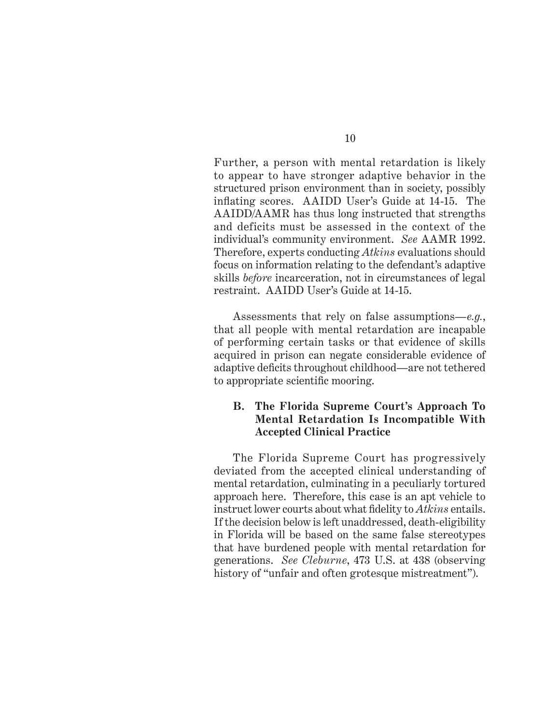Further, a person with mental retardation is likely to appear to have stronger adaptive behavior in the structured prison environment than in society, possibly inflating scores. AAIDD User's Guide at 14-15. The AAIDD/AAMR has thus long instructed that strengths and deficits must be assessed in the context of the individual's community environment. *See* AAMR 1992. Therefore, experts conducting *Atkins* evaluations should focus on information relating to the defendant's adaptive skills *before* incarceration, not in circumstances of legal restraint. AAIDD User's Guide at 14-15.

Assessments that rely on false assumptions—*e.g.*, that all people with mental retardation are incapable of performing certain tasks or that evidence of skills acquired in prison can negate considerable evidence of adaptive deficits throughout childhood—are not tethered to appropriate scientific mooring.

## **B. The Florida Supreme Court's Approach To Mental Retardation Is Incompatible With Accepted Clinical Practice**

The Florida Supreme Court has progressively deviated from the accepted clinical understanding of mental retardation, culminating in a peculiarly tortured approach here. Therefore, this case is an apt vehicle to instruct lower courts about what fidelity to *Atkins* entails. If the decision below is left unaddressed, death-eligibility in Florida will be based on the same false stereotypes that have burdened people with mental retardation for generations. *See Cleburne*, 473 U.S. at 438 (observing history of "unfair and often grotesque mistreatment").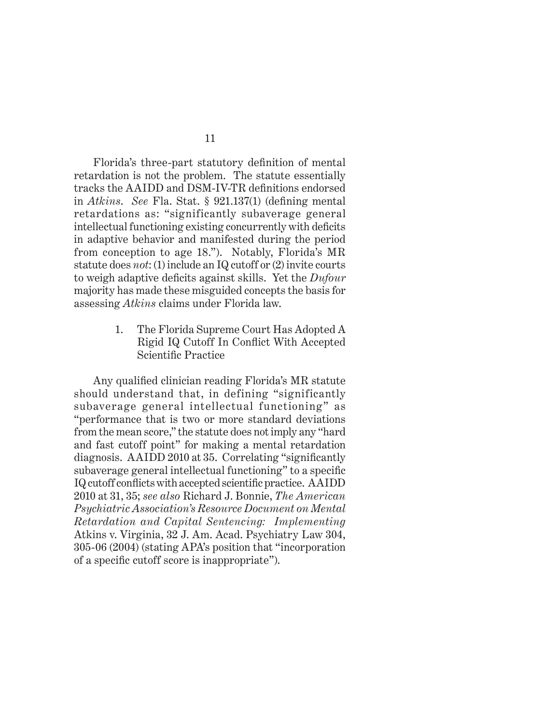Florida's three-part statutory definition of mental retardation is not the problem. The statute essentially tracks the AAIDD and DSM-IV-TR definitions endorsed in *Atkins. See* Fla. Stat. § 921.137(1) (defining mental retardations as: "significantly subaverage general intellectual functioning existing concurrently with deficits in adaptive behavior and manifested during the period from conception to age 18."). Notably, Florida's MR statute does *not*: (1) include an IQ cutoff or (2) invite courts to weigh adaptive deficits against skills. Yet the *Dufour* majority has made these misguided concepts the basis for assessing *Atkins* claims under Florida law.

> 1. The Florida Supreme Court Has Adopted A Rigid IQ Cutoff In Conflict With Accepted Scientific Practice

Any qualified clinician reading Florida's MR statute should understand that, in defining "significantly subaverage general intellectual functioning" as "performance that is two or more standard deviations from the mean score," the statute does not imply any "hard and fast cutoff point" for making a mental retardation diagnosis. AAIDD 2010 at 35. Correlating "significantly subaverage general intellectual functioning" to a specific IQ cutoff conflicts with accepted scientific practice. AAIDD 2010 at 31, 35; *see also* Richard J. Bonnie, *The American Psychiatric Association's Resource Document on Mental Retardation and Capital Sentencing: Implementing*  Atkins v. Virginia, 32 J. Am. Acad. Psychiatry Law 304, 305-06 (2004) (stating APA's position that "incorporation of a specific cutoff score is inappropriate").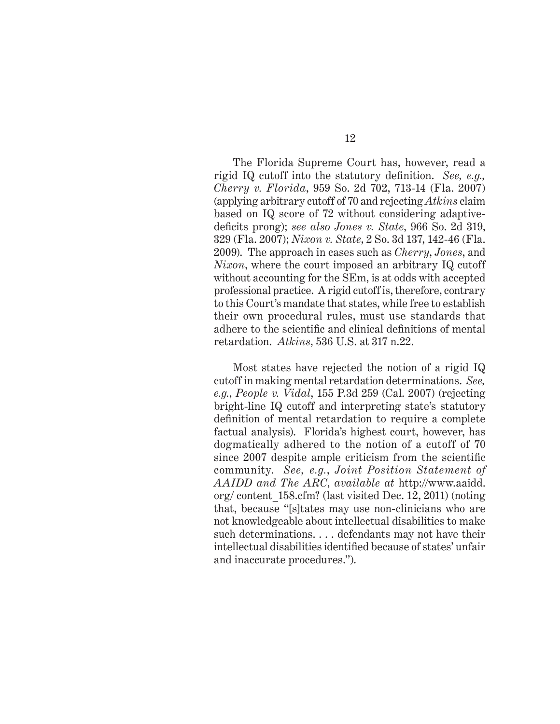The Florida Supreme Court has, however, read a rigid IQ cutoff into the statutory definition. See, e.g., *Cherry v. Florida*, 959 So. 2d 702, 713-14 (Fla. 2007) (applying arbitrary cutoff of 70 and rejecting *Atkins* claim based on IQ score of 72 without considering adaptivedeficits prong); *see also Jones v. State*, 966 So. 2d 319, 329 (Fla. 2007); *Nixon v. State*, 2 So. 3d 137, 142-46 (Fla. 2009). The approach in cases such as *Cherry*, *Jones*, and *Nixon*, where the court imposed an arbitrary IQ cutoff without accounting for the SEm, is at odds with accepted professional practice. A rigid cutoff is, therefore, contrary to this Court's mandate that states, while free to establish their own procedural rules, must use standards that adhere to the scientific and clinical definitions of mental retardation. *Atkins*, 536 U.S. at 317 n.22.

Most states have rejected the notion of a rigid IQ cutoff in making mental retardation determinations. *See, e.g.*, *People v. Vidal*, 155 P.3d 259 (Cal. 2007) (rejecting bright-line IQ cutoff and interpreting state's statutory definition of mental retardation to require a complete factual analysis). Florida's highest court, however, has dogmatically adhered to the notion of a cutoff of 70 since 2007 despite ample criticism from the scientific community. *See, e.g.*, *Joint Position Statement of AAIDD and The ARC*, *available at* http://www.aaidd. org/ content\_158.cfm? (last visited Dec. 12, 2011) (noting that, because "[s]tates may use non-clinicians who are not knowledgeable about intellectual disabilities to make such determinations. . . . defendants may not have their intellectual disabilities identified because of states' unfair and inaccurate procedures.").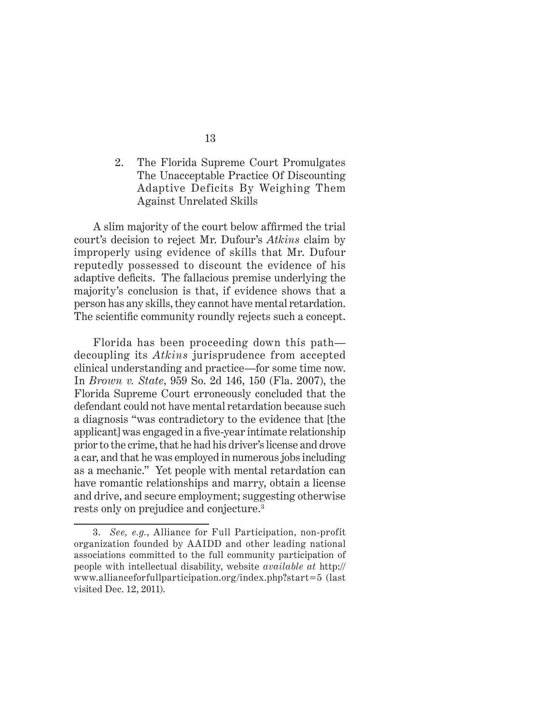2. The Florida Supreme Court Promulgates The Unacceptable Practice Of Discounting Adaptive Deficits By Weighing Them Against Unrelated Skills

A slim majority of the court below affirmed the trial court's decision to reject Mr. Dufour's *Atkins* claim by improperly using evidence of skills that Mr. Dufour reputedly possessed to discount the evidence of his adaptive deficits. The fallacious premise underlying the majority's conclusion is that, if evidence shows that a person has any skills, they cannot have mental retardation. The scientific community roundly rejects such a concept.

Florida has been proceeding down this path decoupling its *Atkins* jurisprudence from accepted clinical understanding and practice—for some time now. In *Brown v. State*, 959 So. 2d 146, 150 (Fla. 2007), the Florida Supreme Court erroneously concluded that the defendant could not have mental retardation because such a diagnosis "was contradictory to the evidence that [the applicant] was engaged in a five-year intimate relationship prior to the crime, that he had his driver's license and drove a car, and that he was employed in numerous jobs including as a mechanic." Yet people with mental retardation can have romantic relationships and marry, obtain a license and drive, and secure employment; suggesting otherwise rests only on prejudice and conjecture.3

<sup>3.</sup> *See, e.g.*, Alliance for Full Participation, non-profit organization founded by AAIDD and other leading national associations committed to the full community participation of people with intellectual disability, website *available at* http:// www.allianceforfullparticipation.org/index.php?start=5 (last visited Dec. 12, 2011).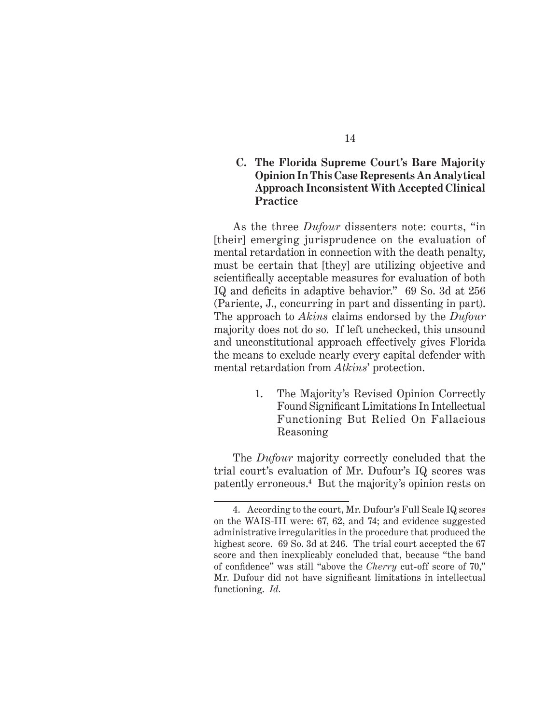### **C. The Florida Supreme Court's Bare Majority Opinion In This Case Represents An Analytical Approach Inconsistent With Accepted Clinical Practice**

As the three *Dufour* dissenters note: courts, "in [their] emerging jurisprudence on the evaluation of mental retardation in connection with the death penalty, must be certain that [they] are utilizing objective and scientifically acceptable measures for evaluation of both IQ and deficits in adaptive behavior." 69 So. 3d at 256 (Pariente, J., concurring in part and dissenting in part). The approach to *Akins* claims endorsed by the *Dufour*  majority does not do so. If left unchecked, this unsound and unconstitutional approach effectively gives Florida the means to exclude nearly every capital defender with mental retardation from *Atkins*' protection.

> 1. The Majority's Revised Opinion Correctly Found Significant Limitations In Intellectual Functioning But Relied On Fallacious Reasoning

The *Dufour* majority correctly concluded that the trial court's evaluation of Mr. Dufour's IQ scores was patently erroneous.4 But the majority's opinion rests on

<sup>4.</sup> According to the court, Mr. Dufour's Full Scale IQ scores on the WAIS-III were: 67, 62, and 74; and evidence suggested administrative irregularities in the procedure that produced the highest score. 69 So. 3d at 246. The trial court accepted the 67 score and then inexplicably concluded that, because "the band of confidence" was still "above the *Cherry* cut-off score of 70," Mr. Dufour did not have significant limitations in intellectual functioning. *Id.*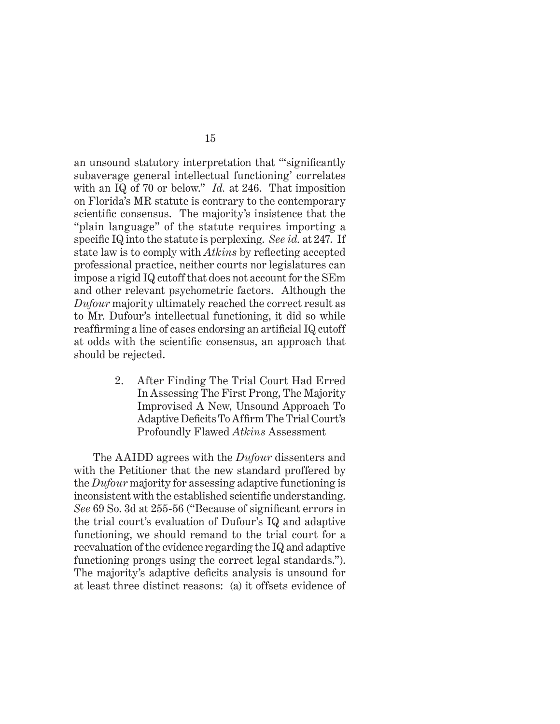an unsound statutory interpretation that "significantly subaverage general intellectual functioning' correlates with an IQ of 70 or below." *Id.* at 246. That imposition on Florida's MR statute is contrary to the contemporary scientific consensus. The majority's insistence that the "plain language" of the statute requires importing a specific IQ into the statute is perplexing. *See id.* at 247. If state law is to comply with *Atkins* by reflecting accepted professional practice, neither courts nor legislatures can impose a rigid IQ cutoff that does not account for the SEm and other relevant psychometric factors. Although the *Dufour* majority ultimately reached the correct result as to Mr. Dufour's intellectual functioning, it did so while reaffirming a line of cases endorsing an artificial IQ cutoff at odds with the scientific consensus, an approach that should be rejected.

> 2. After Finding The Trial Court Had Erred In Assessing The First Prong, The Majority Improvised A New, Unsound Approach To Adaptive Deficits To Affirm The Trial Court's Profoundly Flawed *Atkins* Assessment

The AAIDD agrees with the *Dufour* dissenters and with the Petitioner that the new standard proffered by the *Dufour* majority for assessing adaptive functioning is inconsistent with the established scientific understanding. *See* 69 So. 3d at 255-56 ("Because of significant errors in the trial court's evaluation of Dufour's IQ and adaptive functioning, we should remand to the trial court for a reevaluation of the evidence regarding the IQ and adaptive functioning prongs using the correct legal standards."). The majority's adaptive deficits analysis is unsound for at least three distinct reasons: (a) it offsets evidence of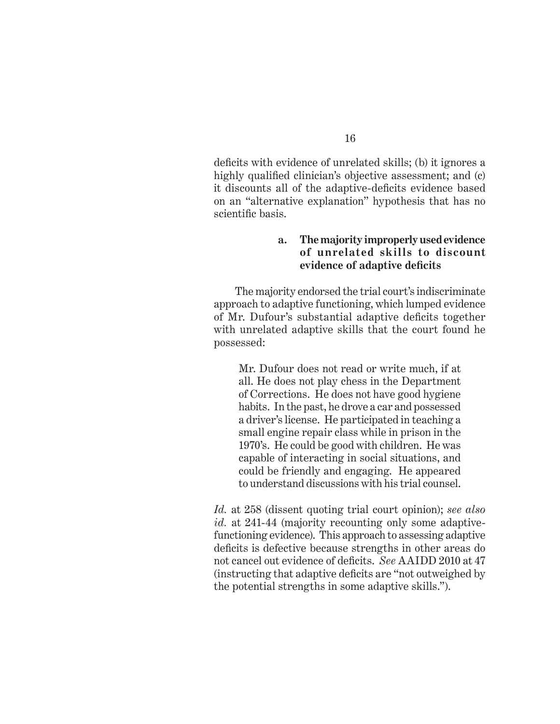deficits with evidence of unrelated skills; (b) it ignores a highly qualified clinician's objective assessment; and (c) it discounts all of the adaptive-deficits evidence based on an "alternative explanation" hypothesis that has no scientific basis.

### **a. The majority improperly used evidence of unrelated skills to discount evidence of adaptive defi cits**

 The majority endorsed the trial court's indiscriminate approach to adaptive functioning, which lumped evidence of Mr. Dufour's substantial adaptive deficits together with unrelated adaptive skills that the court found he possessed:

Mr. Dufour does not read or write much, if at all. He does not play chess in the Department of Corrections. He does not have good hygiene habits. In the past, he drove a car and possessed a driver's license. He participated in teaching a small engine repair class while in prison in the 1970's. He could be good with children. He was capable of interacting in social situations, and could be friendly and engaging. He appeared to understand discussions with his trial counsel.

*Id.* at 258 (dissent quoting trial court opinion); *see also id.* at 241-44 (majority recounting only some adaptivefunctioning evidence). This approach to assessing adaptive deficits is defective because strengths in other areas do not cancel out evidence of deficits. *See* AAIDD 2010 at 47 (instructing that adaptive deficits are "not outweighed by the potential strengths in some adaptive skills.").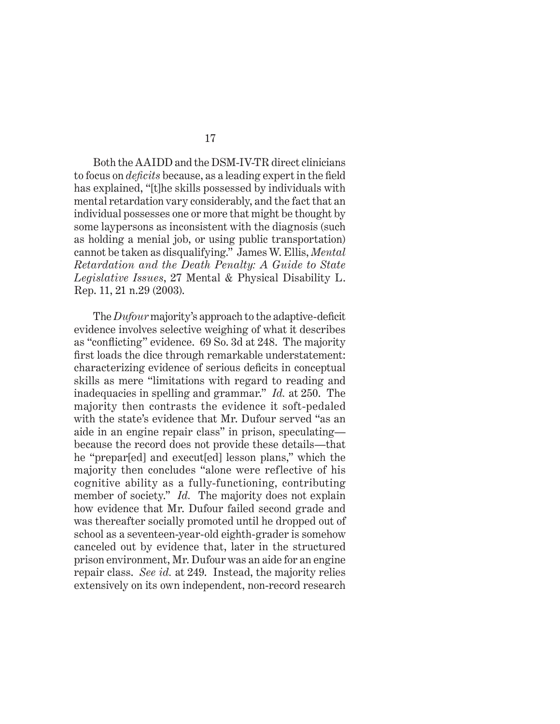Both the AAIDD and the DSM-IV-TR direct clinicians to focus on *deficits* because, as a leading expert in the field has explained, "[t]he skills possessed by individuals with mental retardation vary considerably, and the fact that an individual possesses one or more that might be thought by some laypersons as inconsistent with the diagnosis (such as holding a menial job, or using public transportation) cannot be taken as disqualifying." James W. Ellis, *Mental Retardation and the Death Penalty: A Guide to State Legislative Issues*, 27 Mental & Physical Disability L. Rep. 11, 21 n.29 (2003).

The *Dufour* majority's approach to the adaptive-deficit evidence involves selective weighing of what it describes as "conflicting" evidence. 69 So. 3d at 248. The majority first loads the dice through remarkable understatement: characterizing evidence of serious deficits in conceptual skills as mere "limitations with regard to reading and inadequacies in spelling and grammar." *Id.* at 250. The majority then contrasts the evidence it soft-pedaled with the state's evidence that Mr. Dufour served "as an aide in an engine repair class" in prison, speculating because the record does not provide these details—that he "prepar[ed] and execut[ed] lesson plans," which the majority then concludes "alone were reflective of his cognitive ability as a fully-functioning, contributing member of society." *Id.* The majority does not explain how evidence that Mr. Dufour failed second grade and was thereafter socially promoted until he dropped out of school as a seventeen-year-old eighth-grader is somehow canceled out by evidence that, later in the structured prison environment, Mr. Dufour was an aide for an engine repair class. *See id.* at 249. Instead, the majority relies extensively on its own independent, non-record research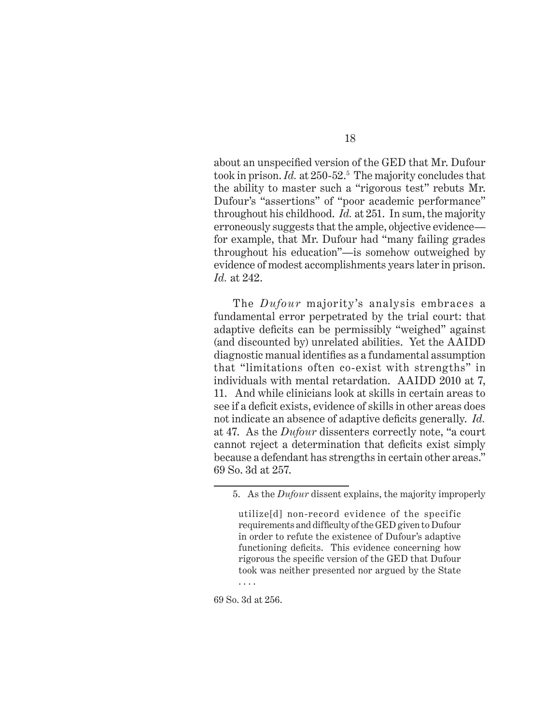about an unspecified version of the GED that Mr. Dufour took in prison. *Id.* at 250-52.5 The majority concludes that the ability to master such a "rigorous test" rebuts Mr. Dufour's "assertions" of "poor academic performance" throughout his childhood. *Id.* at 251. In sum, the majority erroneously suggests that the ample, objective evidence for example, that Mr. Dufour had "many failing grades throughout his education"—is somehow outweighed by evidence of modest accomplishments years later in prison. *Id.* at 242.

The *Dufour* majority's analysis embraces a fundamental error perpetrated by the trial court: that adaptive deficits can be permissibly "weighed" against (and discounted by) unrelated abilities. Yet the AAIDD diagnostic manual identifies as a fundamental assumption that "limitations often co-exist with strengths" in individuals with mental retardation. AAIDD 2010 at 7, 11. And while clinicians look at skills in certain areas to see if a deficit exists, evidence of skills in other areas does not indicate an absence of adaptive deficits generally. *Id.* at 47. As the *Dufour* dissenters correctly note, "a court cannot reject a determination that deficits exist simply because a defendant has strengths in certain other areas." 69 So. 3d at 257.

utilize[d] non-record evidence of the specific requirements and difficulty of the GED given to Dufour in order to refute the existence of Dufour's adaptive functioning deficits. This evidence concerning how rigorous the specific version of the GED that Dufour took was neither presented nor argued by the State . . . .

69 So. 3d at 256.

<sup>5.</sup> As the *Dufour* dissent explains, the majority improperly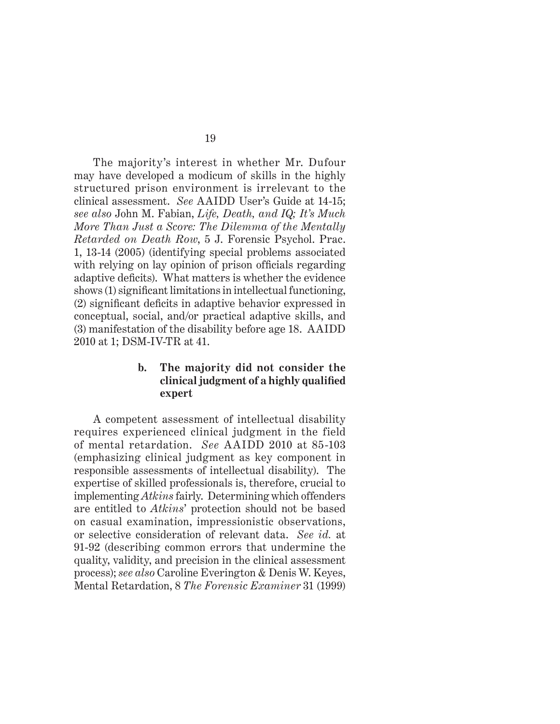The majority's interest in whether Mr. Dufour may have developed a modicum of skills in the highly structured prison environment is irrelevant to the clinical assessment. *See* AAIDD User's Guide at 14-15; *see also* John M. Fabian, *Life, Death, and IQ; It's Much More Than Just a Score: The Dilemma of the Mentally Retarded on Death Row*, 5 J. Forensic Psychol. Prac. 1, 13-14 (2005) (identifying special problems associated with relying on lay opinion of prison officials regarding adaptive deficits). What matters is whether the evidence shows (1) significant limitations in intellectual functioning,  $(2)$  significant deficits in adaptive behavior expressed in conceptual, social, and/or practical adaptive skills, and (3) manifestation of the disability before age 18. AAIDD 2010 at 1; DSM-IV-TR at 41.

### **b. The majority did not consider the clinical judgment of a highly qualifi ed expert**

A competent assessment of intellectual disability requires experienced clinical judgment in the field of mental retardation. *See* AAIDD 2010 at 85-103 (emphasizing clinical judgment as key component in responsible assessments of intellectual disability). The expertise of skilled professionals is, therefore, crucial to implementing *Atkins* fairly. Determining which offenders are entitled to *Atkins*' protection should not be based on casual examination, impressionistic observations, or selective consideration of relevant data. *See id.* at 91-92 (describing common errors that undermine the quality, validity, and precision in the clinical assessment process); *see also* Caroline Everington & Denis W. Keyes, Mental Retardation, 8 *The Forensic Examiner* 31 (1999)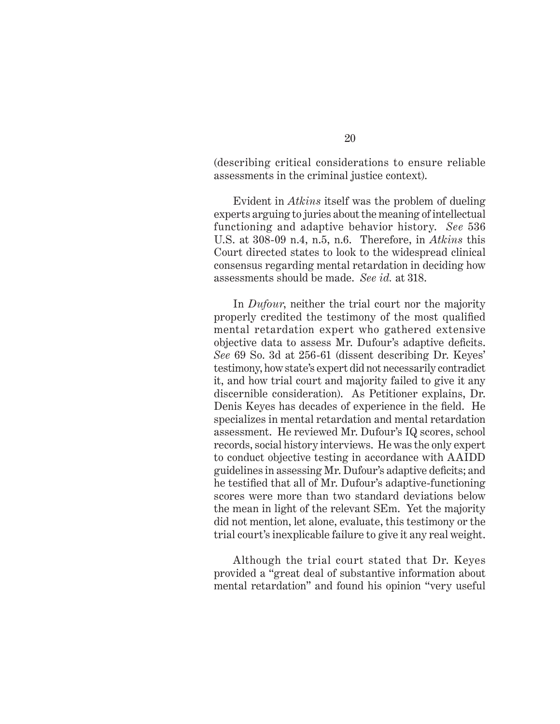(describing critical considerations to ensure reliable assessments in the criminal justice context).

Evident in *Atkins* itself was the problem of dueling experts arguing to juries about the meaning of intellectual functioning and adaptive behavior history. *See* 536 U.S. at 308-09 n.4, n.5, n.6. Therefore, in *Atkins* this Court directed states to look to the widespread clinical consensus regarding mental retardation in deciding how assessments should be made. *See id.* at 318.

In *Dufour*, neither the trial court nor the majority properly credited the testimony of the most qualified mental retardation expert who gathered extensive objective data to assess Mr. Dufour's adaptive deficits. *See* 69 So. 3d at 256-61 (dissent describing Dr. Keyes' testimony, how state's expert did not necessarily contradict it, and how trial court and majority failed to give it any discernible consideration). As Petitioner explains, Dr. Denis Keyes has decades of experience in the field. He specializes in mental retardation and mental retardation assessment. He reviewed Mr. Dufour's IQ scores, school records, social history interviews. He was the only expert to conduct objective testing in accordance with AAIDD guidelines in assessing Mr. Dufour's adaptive deficits; and he testified that all of Mr. Dufour's adaptive-functioning scores were more than two standard deviations below the mean in light of the relevant SEm. Yet the majority did not mention, let alone, evaluate, this testimony or the trial court's inexplicable failure to give it any real weight.

Although the trial court stated that Dr. Keyes provided a "great deal of substantive information about mental retardation" and found his opinion "very useful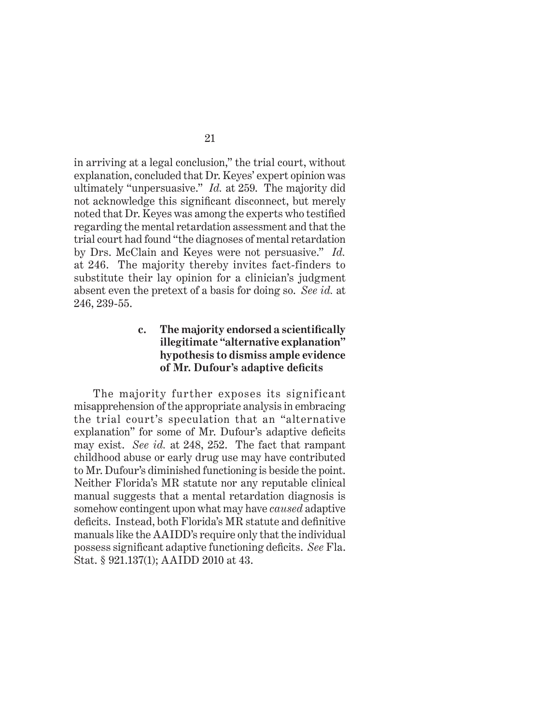in arriving at a legal conclusion," the trial court, without explanation, concluded that Dr. Keyes' expert opinion was ultimately "unpersuasive." *Id.* at 259. The majority did not acknowledge this significant disconnect, but merely noted that Dr. Keyes was among the experts who testified regarding the mental retardation assessment and that the trial court had found "the diagnoses of mental retardation by Drs. McClain and Keyes were not persuasive." *Id.*  at 246. The majority thereby invites fact-finders to substitute their lay opinion for a clinician's judgment absent even the pretext of a basis for doing so. *See id.* at 246, 239-55.

## **c. The majority endorsed a scientifi cally illegitimate "alternative explanation" hypothesis to dismiss ample evidence of Mr. Dufour's adaptive defi cits**

The majority further exposes its significant misapprehension of the appropriate analysis in embracing the trial court's speculation that an "alternative explanation" for some of Mr. Dufour's adaptive deficits may exist. *See id.* at 248, 252. The fact that rampant childhood abuse or early drug use may have contributed to Mr. Dufour's diminished functioning is beside the point. Neither Florida's MR statute nor any reputable clinical manual suggests that a mental retardation diagnosis is somehow contingent upon what may have *caused* adaptive deficits. Instead, both Florida's MR statute and definitive manuals like the AAIDD's require only that the individual possess significant adaptive functioning deficits. *See* Fla. Stat. § 921.137(1); AAIDD 2010 at 43.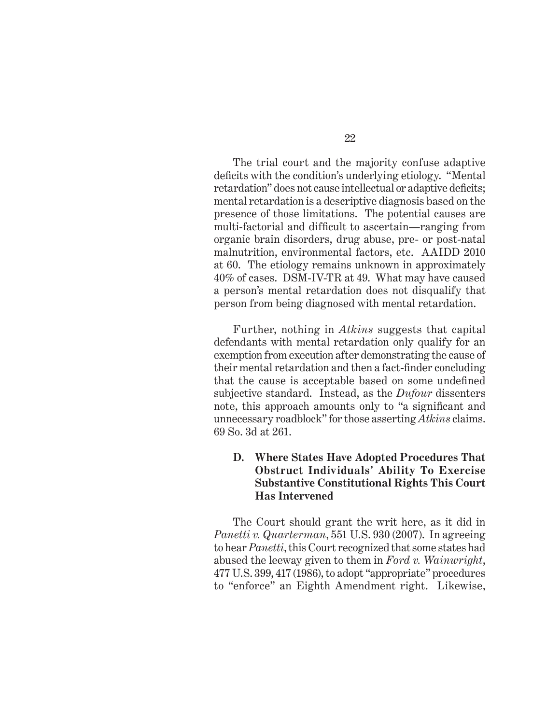The trial court and the majority confuse adaptive deficits with the condition's underlying etiology. "Mental retardation" does not cause intellectual or adaptive deficits; mental retardation is a descriptive diagnosis based on the presence of those limitations. The potential causes are multi-factorial and difficult to ascertain—ranging from organic brain disorders, drug abuse, pre- or post-natal malnutrition, environmental factors, etc. AAIDD 2010 at 60. The etiology remains unknown in approximately 40% of cases. DSM-IV-TR at 49. What may have caused a person's mental retardation does not disqualify that person from being diagnosed with mental retardation.

Further, nothing in *Atkins* suggests that capital defendants with mental retardation only qualify for an exemption from execution after demonstrating the cause of their mental retardation and then a fact-finder concluding that the cause is acceptable based on some undefined subjective standard. Instead, as the *Dufour* dissenters note, this approach amounts only to "a significant and unnecessary roadblock" for those asserting *Atkins* claims. 69 So. 3d at 261.

## **D. Where States Have Adopted Procedures That Obstruct Individuals' Ability To Exercise Substantive Constitutional Rights This Court Has Intervened**

The Court should grant the writ here, as it did in *Panetti v. Quarterman*, 551 U.S. 930 (2007). In agreeing to hear *Panetti*, this Court recognized that some states had abused the leeway given to them in *Ford v. Wainwright*, 477 U.S. 399, 417 (1986), to adopt "appropriate" procedures to "enforce" an Eighth Amendment right. Likewise,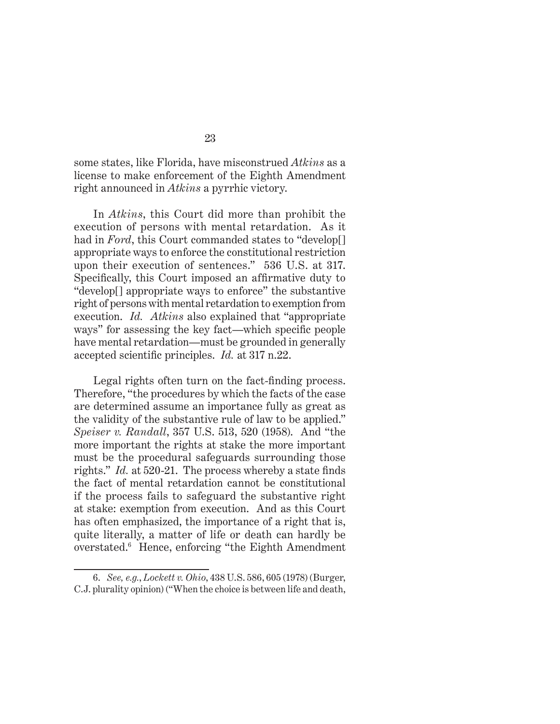some states, like Florida, have misconstrued *Atkins* as a license to make enforcement of the Eighth Amendment right announced in *Atkins* a pyrrhic victory.

In *Atkins*, this Court did more than prohibit the execution of persons with mental retardation. As it had in *Ford*, this Court commanded states to "develop<sup>[]</sup> appropriate ways to enforce the constitutional restriction upon their execution of sentences." 536 U.S. at 317. Specifically, this Court imposed an affirmative duty to "develop[] appropriate ways to enforce" the substantive right of persons with mental retardation to exemption from execution. *Id. Atkins* also explained that "appropriate ways" for assessing the key fact—which specific people have mental retardation—must be grounded in generally accepted scientific principles. *Id.* at 317 n.22.

Legal rights often turn on the fact-finding process. Therefore, "the procedures by which the facts of the case are determined assume an importance fully as great as the validity of the substantive rule of law to be applied." *Speiser v. Randall*, 357 U.S. 513, 520 (1958). And "the more important the rights at stake the more important must be the procedural safeguards surrounding those rights." *Id.* at 520-21. The process whereby a state finds the fact of mental retardation cannot be constitutional if the process fails to safeguard the substantive right at stake: exemption from execution. And as this Court has often emphasized, the importance of a right that is, quite literally, a matter of life or death can hardly be overstated.6 Hence, enforcing "the Eighth Amendment

<sup>6.</sup> *See, e.g.*, *Lockett v. Ohio*, 438 U.S. 586, 605 (1978) (Burger, C.J. plurality opinion) ("When the choice is between life and death,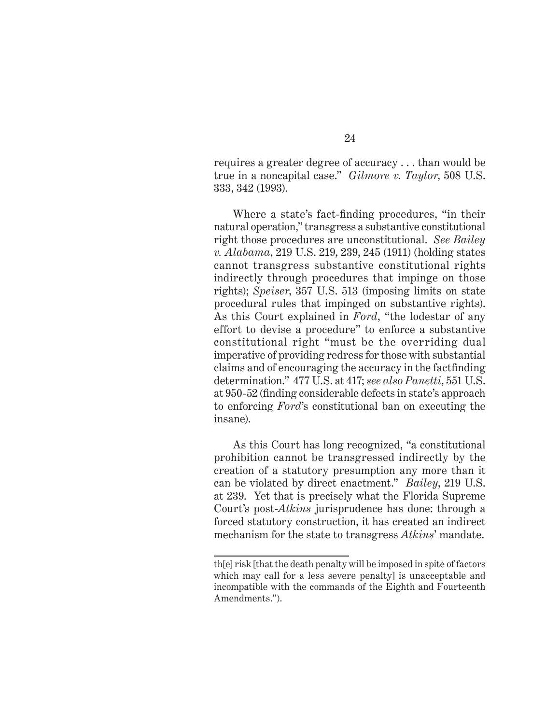requires a greater degree of accuracy . . . than would be true in a noncapital case." *Gilmore v. Taylor*, 508 U.S. 333, 342 (1993).

Where a state's fact-finding procedures, "in their natural operation," transgress a substantive constitutional right those procedures are unconstitutional. *See Bailey v. Alabama*, 219 U.S. 219, 239, 245 (1911) (holding states cannot transgress substantive constitutional rights indirectly through procedures that impinge on those rights); *Speiser*, 357 U.S. 513 (imposing limits on state procedural rules that impinged on substantive rights). As this Court explained in *Ford*, "the lodestar of any effort to devise a procedure" to enforce a substantive constitutional right "must be the overriding dual imperative of providing redress for those with substantial claims and of encouraging the accuracy in the factfinding determination." 477 U.S. at 417; *see also Panetti*, 551 U.S. at 950-52 (finding considerable defects in state's approach to enforcing *Ford*'s constitutional ban on executing the insane).

As this Court has long recognized, "a constitutional prohibition cannot be transgressed indirectly by the creation of a statutory presumption any more than it can be violated by direct enactment." *Bailey*, 219 U.S. at 239. Yet that is precisely what the Florida Supreme Court's post-*Atkins* jurisprudence has done: through a forced statutory construction, it has created an indirect mechanism for the state to transgress *Atkins*' mandate.

th[e] risk [that the death penalty will be imposed in spite of factors which may call for a less severe penalty] is unacceptable and incompatible with the commands of the Eighth and Fourteenth Amendments.").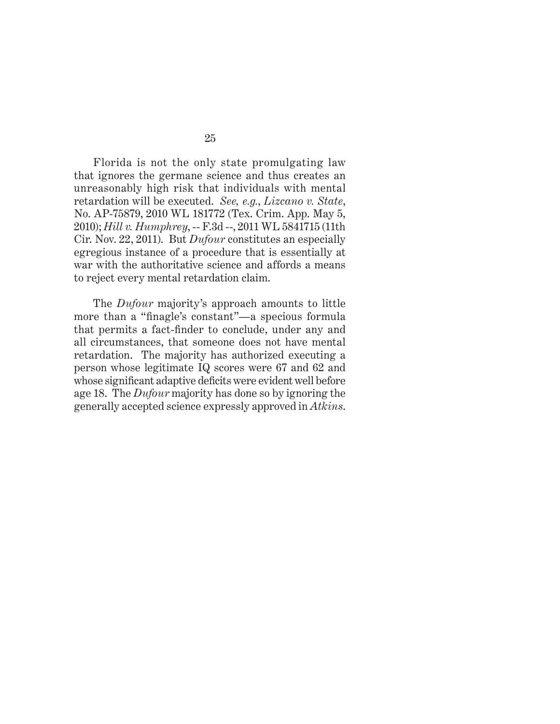Florida is not the only state promulgating law that ignores the germane science and thus creates an unreasonably high risk that individuals with mental retardation will be executed. *See, e.g.*, *Lizcano v. State*, No. AP-75879, 2010 WL 181772 (Tex. Crim. App. May 5, 2010); *Hill v. Humphrey*, -- F.3d --, 2011 WL 5841715 (11th Cir. Nov. 22, 2011). But *Dufour* constitutes an especially egregious instance of a procedure that is essentially at war with the authoritative science and affords a means to reject every mental retardation claim.

The *Dufour* majority's approach amounts to little more than a "finagle's constant"—a specious formula that permits a fact-finder to conclude, under any and all circumstances, that someone does not have mental retardation. The majority has authorized executing a person whose legitimate IQ scores were 67 and 62 and whose significant adaptive deficits were evident well before age 18. The *Dufour* majority has done so by ignoring the generally accepted science expressly approved in *Atkins*.